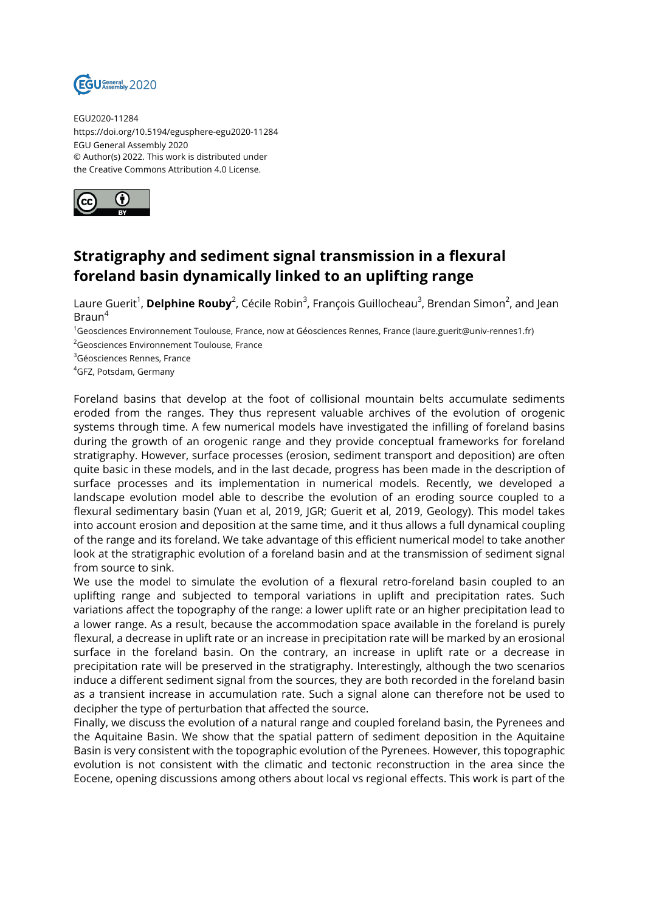

EGU2020-11284 https://doi.org/10.5194/egusphere-egu2020-11284 EGU General Assembly 2020 © Author(s) 2022. This work is distributed under the Creative Commons Attribution 4.0 License.



## **Stratigraphy and sediment signal transmission in a flexural foreland basin dynamically linked to an uplifting range**

Laure Guerit<sup>1</sup>, **Delphine Rouby**<sup>2</sup>, Cécile Robin<sup>3</sup>, François Guillocheau<sup>3</sup>, Brendan Simon<sup>2</sup>, and Jean Braun<sup>4</sup>

<sup>1</sup>Geosciences Environnement Toulouse, France, now at Géosciences Rennes, France (laure.guerit@univ-rennes1.fr) <sup>2</sup>Geosciences Environnement Toulouse, France

<sup>3</sup>Géosciences Rennes, France

<sup>4</sup>GFZ, Potsdam, Germany

Foreland basins that develop at the foot of collisional mountain belts accumulate sediments eroded from the ranges. They thus represent valuable archives of the evolution of orogenic systems through time. A few numerical models have investigated the infilling of foreland basins during the growth of an orogenic range and they provide conceptual frameworks for foreland stratigraphy. However, surface processes (erosion, sediment transport and deposition) are often quite basic in these models, and in the last decade, progress has been made in the description of surface processes and its implementation in numerical models. Recently, we developed a landscape evolution model able to describe the evolution of an eroding source coupled to a flexural sedimentary basin (Yuan et al, 2019, JGR; Guerit et al, 2019, Geology). This model takes into account erosion and deposition at the same time, and it thus allows a full dynamical coupling of the range and its foreland. We take advantage of this efficient numerical model to take another look at the stratigraphic evolution of a foreland basin and at the transmission of sediment signal from source to sink.

We use the model to simulate the evolution of a flexural retro-foreland basin coupled to an uplifting range and subjected to temporal variations in uplift and precipitation rates. Such variations affect the topography of the range: a lower uplift rate or an higher precipitation lead to a lower range. As a result, because the accommodation space available in the foreland is purely flexural, a decrease in uplift rate or an increase in precipitation rate will be marked by an erosional surface in the foreland basin. On the contrary, an increase in uplift rate or a decrease in precipitation rate will be preserved in the stratigraphy. Interestingly, although the two scenarios induce a different sediment signal from the sources, they are both recorded in the foreland basin as a transient increase in accumulation rate. Such a signal alone can therefore not be used to decipher the type of perturbation that affected the source.

Finally, we discuss the evolution of a natural range and coupled foreland basin, the Pyrenees and the Aquitaine Basin. We show that the spatial pattern of sediment deposition in the Aquitaine Basin is very consistent with the topographic evolution of the Pyrenees. However, this topographic evolution is not consistent with the climatic and tectonic reconstruction in the area since the Eocene, opening discussions among others about local vs regional effects. This work is part of the